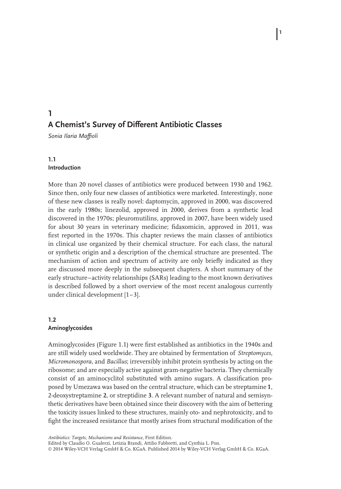*Sonia Ilaria Maffioli*

# **1.1 Introduction**

**1**

More than 20 novel classes of antibiotics were produced between 1930 and 1962. Since then, only four new classes of antibiotics were marketed. Interestingly, none of these new classes is really novel: daptomycin, approved in 2000, was discovered in the early 1980s; linezolid, approved in 2000, derives from a synthetic lead discovered in the 1970s; pleuromutilins, approved in 2007, have been widely used for about 30 years in veterinary medicine; fidaxomicin, approved in 2011, was first reported in the 1970s. This chapter reviews the main classes of antibiotics in clinical use organized by their chemical structure. For each class, the natural or synthetic origin and a description of the chemical structure are presented. The mechanism of action and spectrum of activity are only briefly indicated as they are discussed more deeply in the subsequent chapters. A short summary of the early structure–activity relationships (SARs) leading to the most known derivatives is described followed by a short overview of the most recent analogous currently under clinical development [1–3].

# **1.2 Aminoglycosides**

Aminoglycosides (Figure 1.1) were first established as antibiotics in the 1940s and are still widely used worldwide. They are obtained by fermentation of *Streptomyces*, *Micromonospora*, and *Bacillus*; irreversibly inhibit protein synthesis by acting on the ribosome; and are especially active against gram-negative bacteria. They chemically consist of an aminocyclitol substituted with amino sugars. A classification proposed by Umezawa was based on the central structure, which can be streptamine **1**, 2-deoxystreptamine **2**, or streptidine **3**. A relevant number of natural and semisynthetic derivatives have been obtained since their discovery with the aim of bettering the toxicity issues linked to these structures, mainly oto- and nephrotoxicity, and to fight the increased resistance that mostly arises from structural modification of the

*Antibiotics: Targets, Mechanisms and Resistance,* First Edition.

Edited by Claudio O. Gualerzi, Letizia Brandi, Attilio Fabbretti, and Cynthia L. Pon.

© 2014 Wiley-VCH Verlag GmbH & Co. KGaA. Published 2014 by Wiley-VCH Verlag GmbH & Co. KGaA.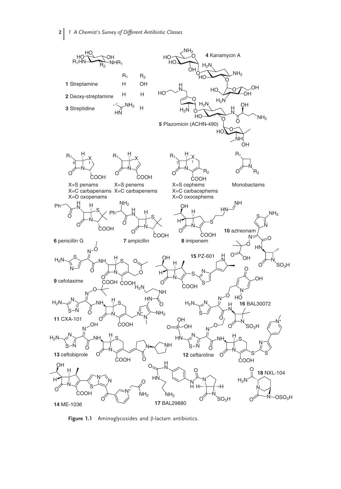

**Figure 1.1** Aminoglycosides and β-lactam antibiotics.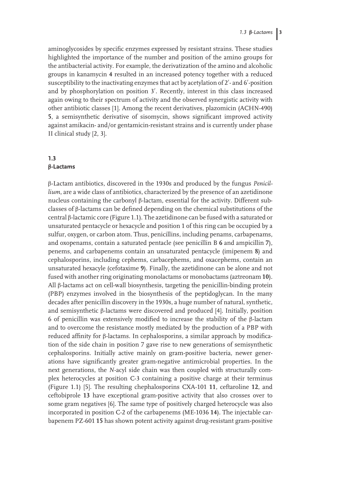aminoglycosides by specific enzymes expressed by resistant strains. These studies highlighted the importance of the number and position of the amino groups for the antibacterial activity. For example, the derivatization of the amino and alcoholic groups in kanamycin **4** resulted in an increased potency together with a reduced susceptibility to the inactivating enzymes that act by acetylation of 2'- and 6'-position and by phosphorylation on position 3′. Recently, interest in this class increased again owing to their spectrum of activity and the observed synergistic activity with other antibiotic classes [1]. Among the recent derivatives, plazomicin (ACHN-490) **5**, a semisynthetic derivative of sisomycin, shows significant improved activity against amikacin- and/or gentamicin-resistant strains and is currently under phase II clinical study [2, 3].

# **1.3 β-Lactams**

β-Lactam antibiotics, discovered in the 1930s and produced by the fungus *Penicillium*, are a wide class of antibiotics, characterized by the presence of an azetidinone nucleus containing the carbonyl β-lactam, essential for the activity. Different subclasses of β-lactams can be defined depending on the chemical substitutions of the central β-lactamic core (Figure 1.1). The azetidinone can be fused with a saturated or unsaturated pentacycle or hexacycle and position 1 of this ring can be occupied by a sulfur, oxygen, or carbon atom. Thus, penicillins, including penams, carbapenams, and oxopenams, contain a saturated pentacle (see penicillin B **6** and ampicillin **7**), penems, and carbapenems contain an unsaturated pentacycle (imipenem **8**) and cephalosporins, including cephems, carbacephems, and oxacephems, contain an unsaturated hexacyle (cefotaxime **9**). Finally, the azetidinone can be alone and not fused with another ring originating monolactams or monobactams (aztreonam **10**). All β-lactams act on cell-wall biosynthesis, targeting the penicillin-binding protein (PBP) enzymes involved in the biosynthesis of the peptidoglycan. In the many decades after penicillin discovery in the 1930s, a huge number of natural, synthetic, and semisynthetic β-lactams were discovered and produced [4]. Initially, position 6 of penicillin was extensively modified to increase the stability of the β-lactam and to overcome the resistance mostly mediated by the production of a PBP with reduced affinity for β-lactams. In cephalosporins, a similar approach by modification of the side chain in position 7 gave rise to new generations of semisynthetic cephalosporins. Initially active mainly on gram-positive bacteria, newer generations have significantly greater gram-negative antimicrobial properties. In the next generations, the *N*-acyl side chain was then coupled with structurally complex heterocycles at position C-3 containing a positive charge at their terminus (Figure 1.1) [5]. The resulting chephalosporins CXA-101 **11**, ceftaroline **12**, and ceftobiprole **13** have exceptional gram-positive activity that also crosses over to some gram negatives [6]. The same type of positively charged heterocycle was also incorporated in position C-2 of the carbapenems (ME-1036 **14**). The injectable carbapenem PZ-601 **15** has shown potent activity against drug-resistant gram-positive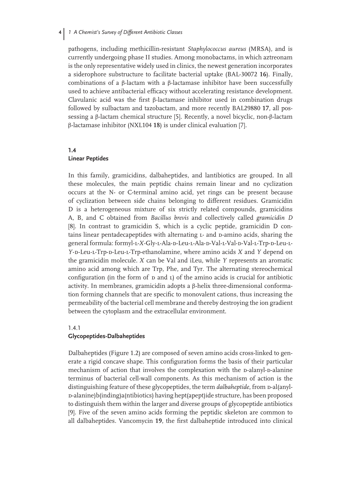pathogens, including methicillin-resistant *Staphylococcus aureus* (MRSA), and is currently undergoing phase II studies. Among monobactams, in which aztreonam is the only representative widely used in clinics, the newest generation incorporates a siderophore substructure to facilitate bacterial uptake (BAL-30072 **16**). Finally, combinations of a β-lactam with a β-lactamase inhibitor have been successfully used to achieve antibacterial efficacy without accelerating resistance development. Clavulanic acid was the first β-lactamase inhibitor used in combination drugs followed by sulbactam and tazobactam, and more recently BAL29880 **17**, all possessing a β-lactam chemical structure [5]. Recently, a novel bicyclic, non-β-lactam β-lactamase inhibitor (NXL104 **18**) is under clinical evaluation [7].

### **1.4 Linear Peptides**

In this family, gramicidins, dalbaheptides, and lantibiotics are grouped. In all these molecules, the main peptidic chains remain linear and no cyclization occurs at the N- or C-terminal amino acid, yet rings can be present because of cyclization between side chains belonging to different residues. Gramicidin D is a heterogeneous mixture of six strictly related compounds, gramicidins A, B, and C obtained from *Bacillus brevis* and collectively called *gramicidin D* [8]. In contrast to gramicidin S, which is a cyclic peptide, gramicidin D contains linear pentadecapeptides with alternating L- and D-amino acids, sharing the general formula: formyl-L-X-Gly-L-Ala-D-Leu-L-Ala-D-Val-L-Val-D-Val-L-Trp-D-Leu-L-*Y*-d-Leu-l-Trp-d-Leu-l-Trp-ethanolamine, where amino acids *X* and *Y* depend on the gramicidin molecule. *X* can be Val and iLeu, while *Y* represents an aromatic amino acid among which are Trp, Phe, and Tyr. The alternating stereochemical configuration (in the form of  $D$  and  $L$ ) of the amino acids is crucial for antibiotic activity. In membranes, gramicidin adopts a β-helix three-dimensional conformation forming channels that are specific to monovalent cations, thus increasing the permeability of the bacterial cell membrane and thereby destroying the ion gradient between the cytoplasm and the extracellular environment.

#### 1.4.1 **Glycopeptides-Dalbaheptides**

Dalbaheptides (Figure 1.2) are composed of seven amino acids cross-linked to generate a rigid concave shape. This configuration forms the basis of their particular mechanism of action that involves the complexation with the p-alanyl-p-alanine terminus of bacterial cell-wall components. As this mechanism of action is the distinguishing feature of these glycopeptides, the term *dalbaheptide*, from *p*-al(anyld-alanine)b(inding)a(ntibiotics) having hept(apept)ide structure, has been proposed to distinguish them within the larger and diverse groups of glycopeptide antibiotics [9]. Five of the seven amino acids forming the peptidic skeleton are common to all dalbaheptides. Vancomycin **19**, the first dalbaheptide introduced into clinical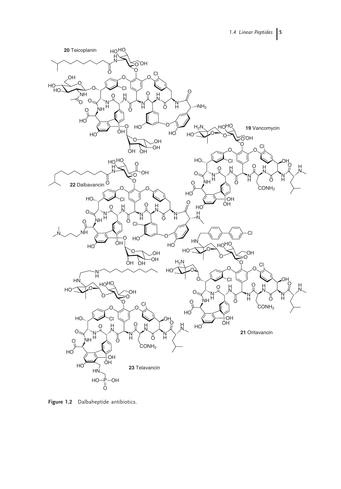

**Figure 1.2** Dalbaheptide antibiotics.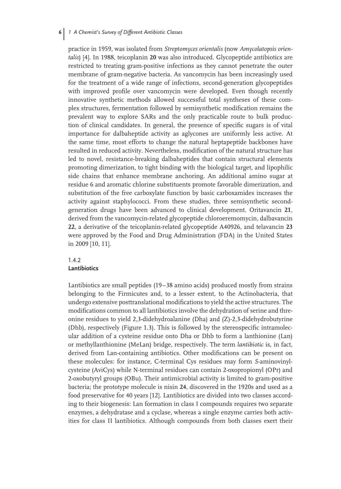practice in 1959, was isolated from *Streptomyces orientalis* (now *Amycolatopsis orientalis*) [4]. In 1988, teicoplanin **20** was also introduced. Glycopeptide antibiotics are restricted to treating gram-positive infections as they cannot penetrate the outer membrane of gram-negative bacteria. As vancomycin has been increasingly used for the treatment of a wide range of infections, second-generation glycopeptides with improved profile over vancomycin were developed. Even though recently innovative synthetic methods allowed successful total syntheses of these complex structures, fermentation followed by semisynthetic modification remains the prevalent way to explore SARs and the only practicable route to bulk production of clinical candidates. In general, the presence of specific sugars is of vital importance for dalbaheptide activity as aglycones are uniformly less active. At the same time, most efforts to change the natural heptapeptide backbones have resulted in reduced activity. Nevertheless, modification of the natural structure has led to novel, resistance-breaking dalbaheptides that contain structural elements promoting dimerization, to tight binding with the biological target, and lipophilic side chains that enhance membrane anchoring. An additional amino sugar at residue 6 and aromatic chlorine substituents promote favorable dimerization, and substitution of the free carboxylate function by basic carboxamides increases the activity against staphylococci. From these studies, three semisynthetic secondgeneration drugs have been advanced to clinical development. Oritavancin **21**, derived from the vancomycin-related glycopeptide chloroeremomycin, dalbavancin **22**, a derivative of the teicoplanin-related glycopeptide A40926, and telavancin **23** were approved by the Food and Drug Administration (FDA) in the United States in 2009 [10, 11].

# 1.4.2 **Lantibiotics**

Lantibiotics are small peptides (19–38 amino acids) produced mostly from strains belonging to the Firmicutes and, to a lesser extent, to the Actinobacteria, that undergo extensive posttranslational modifications to yield the active structures. The modifications common to all lantibiotics involve the dehydration of serine and threonine residues to yield 2,3-didehydroalanine (Dha) and (Z)-2,3-didehydrobutyrine (Dhb), respectively (Figure 1.3). This is followed by the stereospecific intramolecular addition of a cysteine residue onto Dha or Dhb to form a lanthionine (Lan) or methyllanthionine (MeLan) bridge, respectively. The term *lantibiotic* is, in fact, derived from Lan-containing antibiotics. Other modifications can be present on these molecules: for instance, C-terminal Cys residues may form *S*-aminovinylcysteine (AviCys) while N-terminal residues can contain 2-oxopropionyl (OPr) and 2-oxobutyryl groups (OBu). Their antimicrobial activity is limited to gram-positive bacteria; the prototype molecule is nisin **24**, discovered in the 1920s and used as a food preservative for 40 years [12]. Lantibiotics are divided into two classes according to their biogenesis: Lan formation in class I compounds requires two separate enzymes, a dehydratase and a cyclase, whereas a single enzyme carries both activities for class II lantibiotics. Although compounds from both classes exert their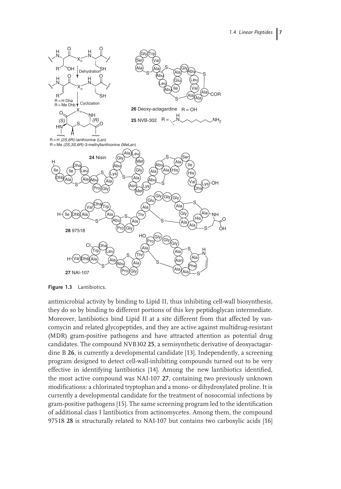

**Figure 1.3** Lantibiotics.

antimicrobial activity by binding to Lipid II, thus inhibiting cell-wall biosynthesis, they do so by binding to different portions of this key peptidoglycan intermediate. Moreover, lantibiotics bind Lipid II at a site different from that affected by vancomycin and related glycopeptides, and they are active against multidrug-resistant (MDR) gram-positive pathogens and have attracted attention as potential drug candidates. The compound NVB302 **25**, a semisynthetic derivative of deoxyactagardine B **26**, is currently a developmental candidate [13]. Independently, a screening program designed to detect cell-wall-inhibiting compounds turned out to be very effective in identifying lantibiotics [14]. Among the new lantibiotics identified, the most active compound was NAI-107 **27**, containing two previously unknown modifications: a chlorinated tryptophan and a mono- or dihydroxylated proline. It is currently a developmental candidate for the treatment of nosocomial infections by gram-positive pathogens [15]. The same screening program led to the identification of additional class I lantibiotics from actinomycetes. Among them, the compound 97518 **28** is structurally related to NAI-107 but contains two carboxylic acids [16]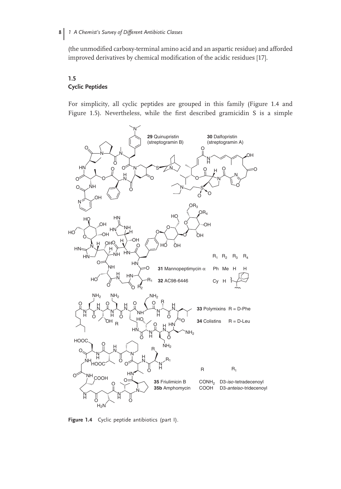(the unmodified carboxy-terminal amino acid and an aspartic residue) and afforded improved derivatives by chemical modification of the acidic residues [17].

## **1.5 Cyclic Peptides**

For simplicity, all cyclic peptides are grouped in this family (Figure 1.4 and Figure 1.5). Nevertheless, while the first described gramicidin S is a simple



**Figure 1.4** Cyclic peptide antibiotics (part I).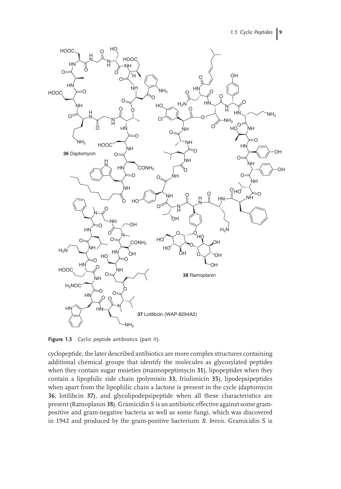

Figure 1.5 Cyclic peptide antibiotics (part II).

cyclopeptide, the later described antibiotics are more complex structures containing additional chemical groups that identify the molecules as glycosylated peptides when they contain sugar moieties (mannopeptimycin **31**), lipopeptides when they contain a lipophilic side chain (polymixin **33**, friulimicin **35**), lipodepsipeptides when apart from the lipophilic chain a lactone is present in the cycle (daptomycin **36**, lotilibcin **37**), and glycolipodepsipeptide when all these characteristics are present (Ramoplanin **38**). Gramicidin S is an antibiotic effective against some grampositive and gram-negative bacteria as well as some fungi, which was discovered in 1942 and produced by the gram-positive bacterium *B. brevis*. Gramicidin S is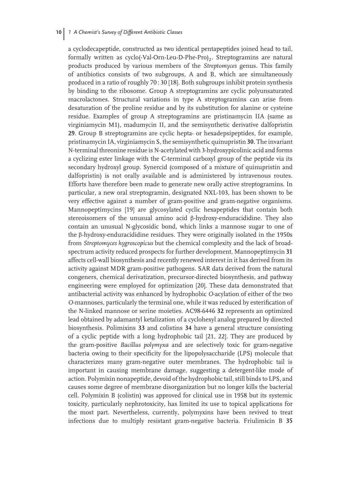a cyclodecapeptide, constructed as two identical pentapeptides joined head to tail, formally written as cyclo(-Val-Orn-Leu-D-Phe-Pro)<sub>2</sub>. Streptogramins are natural products produced by various members of the *Streptomyces* genus. This family of antibiotics consists of two subgroups, A and B, which are simultaneously produced in a ratio of roughly 70 : 30 [18]. Both subgroups inhibit protein synthesis by binding to the ribosome. Group A streptogramins are cyclic polyunsaturated macrolactones. Structural variations in type A streptogramins can arise from desaturation of the proline residue and by its substitution for alanine or cysteine residue. Examples of group A streptogramins are pristinamycin IIA (same as virginiamycin M1), madumycin II, and the semisynthetic derivative dalfopristin **29**. Group B streptogramins are cyclic hepta- or hexadepsipeptides, for example, pristinamycin IA, virginiamycin S, the semisynthetic quinupristin **30**. The invariant N-terminal threonine residue is N-acetylated with 3-hydroxypicolinic acid and forms a cyclizing ester linkage with the C-terminal carboxyl group of the peptide via its secondary hydroxyl group. Synercid (composed of a mixture of quinupristin and dalfopristin) is not orally available and is administered by intravenous routes. Efforts have therefore been made to generate new orally active streptogramins. In particular, a new oral streptogramin, designated NXL-103, has been shown to be very effective against a number of gram-positive and gram-negative organisms. Mannopeptimycins [19] are glycosylated cyclic hexapeptides that contain both stereoisomers of the unusual amino acid β-hydroxy-enduracididine. They also contain an unusual N-glycosidic bond, which links a mannose sugar to one of the β-hydroxy-enduracididine residues. They were originally isolated in the 1950s from *Streptomyces hygroscopicus* but the chemical complexity and the lack of broadspectrum activity reduced prospects for further development. Mannopeptimycin **31** affects cell-wall biosynthesis and recently renewed interest in it has derived from its activity against MDR gram-positive pathogens. SAR data derived from the natural congeners, chemical derivatization, precursor-directed biosynthesis, and pathway engineering were employed for optimization [20]. These data demonstrated that antibacterial activity was enhanced by hydrophobic *O*-acylation of either of the two *O*-mannoses, particularly the terminal one, while it was reduced by esterification of the N-linked mannose or serine moieties. AC98-6446 **32** represents an optimized lead obtained by adamantyl ketalization of a cyclohexyl analog prepared by directed biosynthesis. Polimixins **33** and colistins **34** have a general structure consisting of a cyclic peptide with a long hydrophobic tail [21, 22]. They are produced by the gram-positive *Bacillus polymyxa* and are selectively toxic for gram-negative bacteria owing to their specificity for the lipopolysaccharide (LPS) molecule that characterizes many gram-negative outer membranes. The hydrophobic tail is important in causing membrane damage, suggesting a detergent-like mode of action. Polymixin nonapeptide, devoid of the hydrophobic tail, still binds to LPS, and causes some degree of membrane disorganization but no longer kills the bacterial cell. Polymixin B (colistin) was approved for clinical use in 1958 but its systemic toxicity, particularly nephrotoxicity, has limited its use to topical applications for the most part. Nevertheless, currently, polymyxins have been revived to treat infections due to multiply resistant gram-negative bacteria. Friulimicin B **35**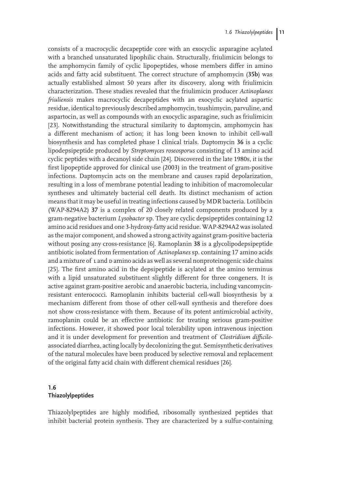consists of a macrocyclic decapeptide core with an exocyclic asparagine acylated with a branched unsaturated lipophilic chain. Structurally, friulimicin belongs to the amphomycin family of cyclic lipopeptides, whose members differ in amino acids and fatty acid substituent. The correct structure of amphomycin (**35b**) was actually established almost 50 years after its discovery, along with friulimicin characterization. These studies revealed that the friulimicin producer *Actinoplanes friuliensis* makes macrocyclic decapeptides with an exocyclic acylated aspartic residue, identical to previously described amphomycin, tsushimycin, parvuline, and aspartocin, as well as compounds with an exocyclic asparagine, such as friulimicin [23]. Notwithstanding the structural similarity to daptomycin, amphomycin has a different mechanism of action; it has long been known to inhibit cell-wall biosynthesis and has completed phase I clinical trials. Daptomycin **36** is a cyclic lipodepsipeptide produced by *Streptomyces roseosporus* consisting of 13 amino acid cyclic peptides with a decanoyl side chain [24]. Discovered in the late 1980s, it is the first lipopeptide approved for clinical use (2003) in the treatment of gram-positive infections. Daptomycin acts on the membrane and causes rapid depolarization, resulting in a loss of membrane potential leading to inhibition of macromolecular syntheses and ultimately bacterial cell death. Its distinct mechanism of action means that it may be useful in treating infections caused by MDR bacteria. Lotilibcin (WAP-8294A2) **37** is a complex of 20 closely related components produced by a gram-negative bacterium *Lysobacter* sp. They are cyclic depsipeptides containing 12 amino acid residues and one 3-hydroxy-fatty acid residue. WAP-8294A2 was isolated as the major component, and showed a strong activity against gram-positive bacteria without posing any cross-resistance [6]. Ramoplanin **38** is a glycolipodepsipeptide antibiotic isolated from fermentation of *Actinoplanes* sp. containing 17 amino acids and a mixture of L and D amino acids as well as several nonproteinogenic side chains [25]. The first amino acid in the depsipeptide is acylated at the amino terminus with a lipid unsaturated substituent slightly different for three congeners. It is active against gram-positive aerobic and anaerobic bacteria, including vancomycinresistant enterococci. Ramoplanin inhibits bacterial cell-wall biosynthesis by a mechanism different from those of other cell-wall synthesis and therefore does not show cross-resistance with them. Because of its potent antimicrobial activity, ramoplanin could be an effective antibiotic for treating serious gram-positive infections. However, it showed poor local tolerability upon intravenous injection and it is under development for prevention and treatment of *Clostridium difficile*associated diarrhea, acting locally by decolonizing the gut. Semisynthetic derivatives of the natural molecules have been produced by selective removal and replacement of the original fatty acid chain with different chemical residues [26].

# **1.6 Thiazolylpeptides**

Thiazolylpeptides are highly modified, ribosomally synthesized peptides that inhibit bacterial protein synthesis. They are characterized by a sulfur-containing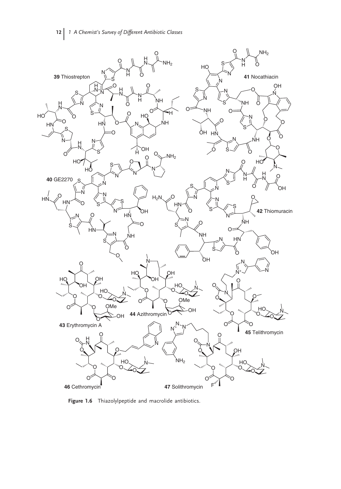

**Figure 1.6** Thiazolylpeptide and macrolide antibiotics.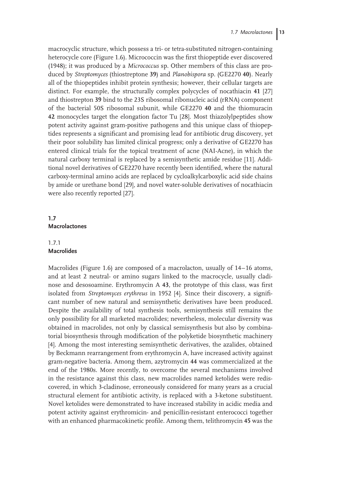macrocyclic structure, which possess a tri- or tetra-substituted nitrogen-containing heterocycle core (Figure 1.6). Micrococcin was the first thiopeptide ever discovered (1948); it was produced by a *Micrococcus* sp. Other members of this class are produced by *Streptomyces* (thiostreptone **39**) and *Planobispora* sp. (GE2270 **40**). Nearly all of the thiopeptides inhibit protein synthesis; however, their cellular targets are distinct. For example, the structurally complex polycycles of nocathiacin **41** [27] and thiostrepton **39** bind to the 23S ribosomal ribonucleic acid (rRNA) component of the bacterial 50S ribosomal subunit, while GE2270 **40** and the thiomuracin **42** monocycles target the elongation factor Tu [28]. Most thiazolylpeptides show potent activity against gram-positive pathogens and this unique class of thiopeptides represents a significant and promising lead for antibiotic drug discovery, yet their poor solubility has limited clinical progress; only a derivative of GE2270 has entered clinical trials for the topical treatment of acne (NAI-Acne), in which the natural carboxy terminal is replaced by a semisynthetic amide residue [11]. Additional novel derivatives of GE2270 have recently been identified, where the natural carboxy-terminal amino acids are replaced by cycloalkylcarboxylic acid side chains by amide or urethane bond [29], and novel water-soluble derivatives of nocathiacin were also recently reported [27].

## **1.7 Macrolactones**

## 1.7.1 **Macrolides**

Macrolides (Figure 1.6) are composed of a macrolacton, usually of 14–16 atoms, and at least 2 neutral- or amino sugars linked to the macrocycle, usually cladinose and desosoamine. Erythromycin A **43**, the prototype of this class, was first isolated from *Streptomyces erythreus* in 1952 [4]. Since their discovery, a significant number of new natural and semisynthetic derivatives have been produced. Despite the availability of total synthesis tools, semisynthesis still remains the only possibility for all marketed macrolides; nevertheless, molecular diversity was obtained in macrolides, not only by classical semisynthesis but also by combinatorial biosynthesis through modification of the polyketide biosynthetic machinery [4]. Among the most interesting semisynthetic derivatives, the azalides, obtained by Beckmann rearrangement from erythromycin A, have increased activity against gram-negative bacteria. Among them, azytromycin **44** was commercialized at the end of the 1980s. More recently, to overcome the several mechanisms involved in the resistance against this class, new macrolides named ketolides were rediscovered, in which 3-cladinose, erroneously considered for many years as a crucial structural element for antibiotic activity, is replaced with a 3-ketone substituent. Novel ketolides were demonstrated to have increased stability in acidic media and potent activity against erythromicin- and penicillin-resistant enterococci together with an enhanced pharmacokinetic profile. Among them, telithromycin **45** was the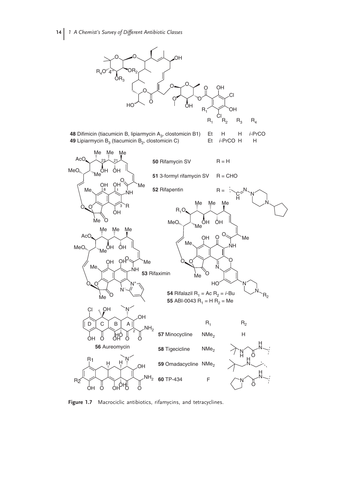

Figure 1.7 Macrociclic antibiotics, rifamycins, and tetracyclines.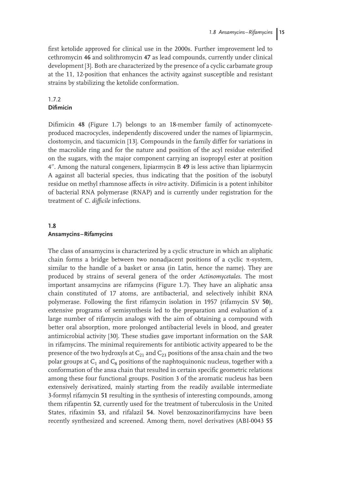first ketolide approved for clinical use in the 2000s. Further improvement led to cethromycin **46** and solithromycin **47** as lead compounds, currently under clinical development [3]. Both are characterized by the presence of a cyclic carbamate group at the 11, 12-position that enhances the activity against susceptible and resistant strains by stabilizing the ketolide conformation.

## 1.7.2 **Difimicin**

Difimicin **48** (Figure 1.7) belongs to an 18-member family of actinomyceteproduced macrocycles, independently discovered under the names of lipiarmycin, clostomycin, and tiacumicin [13]. Compounds in the family differ for variations in the macrolide ring and for the nature and position of the acyl residue esterified on the sugars, with the major component carrying an isopropyl ester at position 4--. Among the natural congeners, lipiarmycin B **49** is less active than lipiarmycin A against all bacterial species, thus indicating that the position of the isobutyl residue on methyl rhamnose affects *in vitro* activity. Difimicin is a potent inhibitor of bacterial RNA polymerase (RNAP) and is currently under registration for the treatment of *C. difficile* infections.

# **1.8 Ansamycins–Rifamycins**

The class of ansamycins is characterized by a cyclic structure in which an aliphatic chain forms a bridge between two nonadjacent positions of a cyclic π-system, similar to the handle of a basket or ansa (in Latin, hence the name). They are produced by strains of several genera of the order *Actinomycetales*. The most important ansamycins are rifamycins (Figure 1.7). They have an aliphatic ansa chain constituted of 17 atoms, are antibacterial, and selectively inhibit RNA polymerase. Following the first rifamycin isolation in 1957 (rifamycin SV **50**), extensive programs of semisynthesis led to the preparation and evaluation of a large number of rifamycin analogs with the aim of obtaining a compound with better oral absorption, more prolonged antibacterial levels in blood, and greater antimicrobial activity [30]. These studies gave important information on the SAR in rifamycins. The minimal requirements for antibiotic activity appeared to be the presence of the two hydroxyls at  $C_{21}$  and  $C_{23}$  positions of the ansa chain and the two polar groups at  $C_1$  and  $C_8$  positions of the naphtoquinonic nucleus, together with a conformation of the ansa chain that resulted in certain specific geometric relations among these four functional groups. Position 3 of the aromatic nucleus has been extensively derivatized, mainly starting from the readily available intermediate 3-formyl rifamycin **51** resulting in the synthesis of interesting compounds, among them rifapentin **52**, currently used for the treatment of tuberculosis in the United States, rifaximin **53**, and rifalazil **54**. Novel benzoxazinorifamycins have been recently synthesized and screened. Among them, novel derivatives (ABI-0043 **55**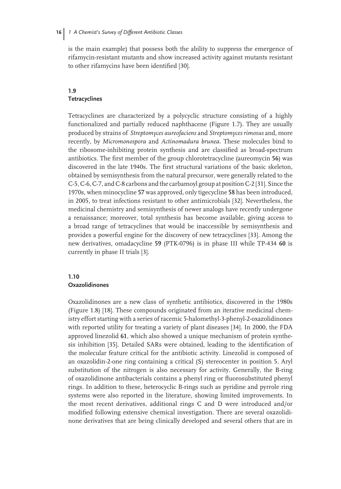is the main example) that possess both the ability to suppress the emergence of rifamycin-resistant mutants and show increased activity against mutants resistant to other rifamycins have been identified [30].

## **1.9 Tetracyclines**

Tetracyclines are characterized by a polycyclic structure consisting of a highly functionalized and partially reduced naphthacene (Figure 1.7). They are usually produced by strains of *Streptomyces aureofaciens* and *Streptomyces rimosus* and, more recently, by *Micromonospora* and *Actinomadura brunea*. These molecules bind to the ribosome-inhibiting protein synthesis and are classified as broad-spectrum antibiotics. The first member of the group chlorotetracycline (aureomycin **56**) was discovered in the late 1940s. The first structural variations of the basic skeleton, obtained by semisynthesis from the natural precursor, were generally related to the C-5, C-6, C-7, and C-8 carbons and the carbamoyl group at position C-2 [31]. Since the 1970s, when minocycline **57** was approved, only tigecycline **58** has been introduced, in 2005, to treat infections resistant to other antimicrobials [32]. Nevertheless, the medicinal chemistry and semisynthesis of newer analogs have recently undergone a renaissance; moreover, total synthesis has become available, giving access to a broad range of tetracyclines that would be inaccessible by semisynthesis and provides a powerful engine for the discovery of new tetracyclines [33]. Among the new derivatives, omadacycline **59** (PTK-0796) is in phase III while TP-434 **60** is currently in phase II trials [3].

## **1.10**

## **Oxazolidinones**

Oxazolidinones are a new class of synthetic antibiotics, discovered in the 1980s (Figure 1.8) [18]. These compounds originated from an iterative medicinal chemistry effort starting with a series of racemic 5-halomethyl-3-phenyl-2-oxazolidinones with reported utility for treating a variety of plant diseases [34]. In 2000, the FDA approved linezolid **61**, which also showed a unique mechanism of protein synthesis inhibition [35]. Detailed SARs were obtained, leading to the identification of the molecular feature critical for the antibiotic activity. Linezolid is composed of an oxazolidin-2-one ring containing a critical (S) stereocenter in position 5. Aryl substitution of the nitrogen is also necessary for activity. Generally, the B-ring of oxazolidinone antibacterials contains a phenyl ring or fluorosubstituted phenyl rings. In addition to these, heterocyclic B-rings such as pyridine and pyrrole ring systems were also reported in the literature, showing limited improvements. In the most recent derivatives, additional rings C and D were introduced and/or modified following extensive chemical investigation. There are several oxazolidinone derivatives that are being clinically developed and several others that are in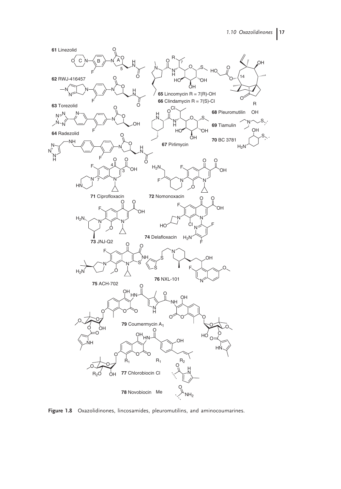

**Figure 1.8** Oxazolidinones, lincosamides, pleuromutilins, and aminocoumarines.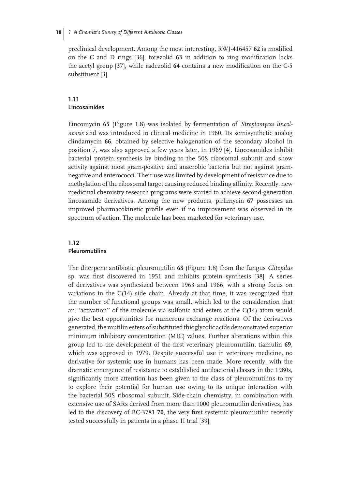preclinical development. Among the most interesting, RWJ-416457 **62** is modified on the C and D rings [36], torezolid **63** in addition to ring modification lacks the acetyl group [37], while radezolid **64** contains a new modification on the C-5 substituent [3].

## **1.11 Lincosamides**

Lincomycin **65** (Figure 1.8) was isolated by fermentation of *Streptomyces lincolnensis* and was introduced in clinical medicine in 1960. Its semisynthetic analog clindamycin **66**, obtained by selective halogenation of the secondary alcohol in position 7, was also approved a few years later, in 1969 [4]. Lincosamides inhibit bacterial protein synthesis by binding to the 50S ribosomal subunit and show activity against most gram-positive and anaerobic bacteria but not against gramnegative and enterococci. Their use was limited by development of resistance due to methylation of the ribosomal target causing reduced binding affinity. Recently, new medicinal chemistry research programs were started to achieve second-generation lincosamide derivatives. Among the new products, pirlimycin **67** possesses an improved pharmacokinetic profile even if no improvement was observed in its spectrum of action. The molecule has been marketed for veterinary use.

## **1.12 Pleuromutilins**

The diterpene antibiotic pleuromutilin **68** (Figure 1.8) from the fungus *Clitopilus* sp. was first discovered in 1951 and inhibits protein synthesis [38]. A series of derivatives was synthesized between 1963 and 1966, with a strong focus on variations in the C(14) side chain. Already at that time, it was recognized that the number of functional groups was small, which led to the consideration that an ''activation'' of the molecule via sulfonic acid esters at the C(14) atom would give the best opportunities for numerous exchange reactions. Of the derivatives generated, the mutilin esters of substituted thioglycolic acids demonstrated superior minimum inhibitory concentration (MIC) values. Further alterations within this group led to the development of the first veterinary pleuromutilin, tiamulin **69**, which was approved in 1979. Despite successful use in veterinary medicine, no derivative for systemic use in humans has been made. More recently, with the dramatic emergence of resistance to established antibacterial classes in the 1980s, significantly more attention has been given to the class of pleuromutilins to try to explore their potential for human use owing to its unique interaction with the bacterial 50S ribosomal subunit. Side-chain chemistry, in combination with extensive use of SARs derived from more than 1000 pleuromutilin derivatives, has led to the discovery of BC-3781 **70**, the very first systemic pleuromutilin recently tested successfully in patients in a phase II trial [39].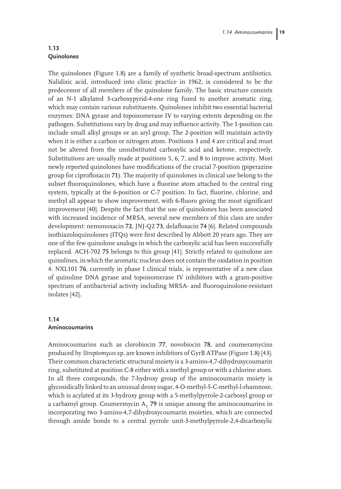## **1.13 Quinolones**

The quinolones (Figure 1.8) are a family of synthetic broad-spectrum antibiotics. Nalidixic acid, introduced into clinic practice in 1962, is considered to be the predecessor of all members of the quinolone family. The basic structure consists of an N-1 alkylated 3-carboxypyrid-4-one ring fused to another aromatic ring, which may contain various substituents. Quinolones inhibit two essential bacterial enzymes: DNA gyrase and topoisomerase IV to varying extents depending on the pathogen. Substitutions vary by drug and may influence activity. The 1-position can include small alkyl groups or an aryl group. The 2-position will maintain activity when it is either a carbon or nitrogen atom. Positions 3 and 4 are critical and must not be altered from the unsubstituted carboxylic acid and ketone, respectively. Substitutions are usually made at positions 5, 6, 7, and 8 to improve activity. Most newly reported quinolones have modifications of the crucial 7-position (piperazine group for ciprofloxacin **71**). The majority of quinolones in clinical use belong to the subset fluoroquinolones, which have a fluorine atom attached to the central ring system, typically at the 6-position or C-7 position. In fact, fluorine, chlorine, and methyl all appear to show improvement, with 6-fluoro giving the most significant improvement [40]. Despite the fact that the use of quinolones has been associated with increased incidence of MRSA, several new members of this class are under development: nemonoxacin **72**, JNJ-Q2 **73**, delafloxacin **74** [6]. Related compounds isothiazoloquinolones (ITQs) were first described by Abbott 20 years ago. They are one of the few quinolone analogs in which the carboxylic acid has been successfully replaced. ACH-702 **75** belongs to this group [41]. Strictly related to quinolone are quinolines, in which the aromatic nucleus does not contain the oxidation in position 4. NXL101 **76**, currently in phase I clinical trials, is representative of a new class of quinoline DNA gyrase and topoisomerase IV inhibitors with a gram-positive spectrum of antibacterial activity including MRSA- and fluoroquinolone-resistant isolates [42].

## **1.14 Aminocoumarins**

Aminocoumarins such as clorobiocin **77**, novobiocin **78**, and coumeramycins produced by *Streptomyces* sp. are known inhibitors of GyrB ATPase (Figure 1.8) [43]. Their common characteristic structural moiety is a 3-amino-4,7-dihydroxycoumarin ring, substituted at position C-8 either with a methyl group or with a chlorine atom. In all three compounds, the 7-hydroxy group of the aminocoumarin moiety is glycosidically linked to an unusual deoxy sugar, 4-O-methyl-5-C-methyl-l-rhamnose, which is acylated at its 3-hydroxy group with a 5-methylpyrrole-2-carboxyl group or a carbamyl group. Coumermycin  $A_1$  79 is unique among the aminocoumarins in incorporating two 3-amino-4,7-dihydroxycoumarin moieties, which are connected through amide bonds to a central pyrrole unit-3-methylpyrrole-2,4-dicarboxylic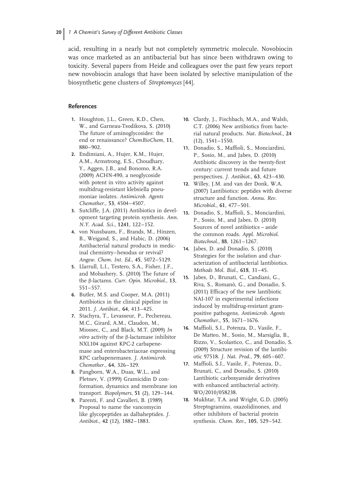acid, resulting in a nearly but not completely symmetric molecule. Novobiocin was once marketed as an antibacterial but has since been withdrawn owing to toxicity. Several papers from Heide and colleagues over the past few years report new novobiocin analogs that have been isolated by selective manipulation of the biosynthetic gene clusters of *Streptomyces* [44].

### **References**

- **1.** Houghton, J.L., Green, K.D., Chen, W., and Garneau-Tsodikova, S. (2010) The future of aminoglycosides: the end or renaissance? *ChemBioChem*, **11**, 880–902.
- **2.** Endimiani, A., Hujer, K.M., Hujer, A.M., Armstrong, E.S., Choudhary, Y., Aggen, J.B., and Bonomo, R.A. (2009) ACHN-490, a neoglycoside with potent in vitro activity against multidrug-resistant klebsiella pneumoniae isolates. *Antimicrob. Agents Chemother.*, **53**, 4504–4507.
- **3.** Sutcliffe, J.A. (2011) Antibiotics in development targeting protein synthesis. *Ann. N.Y. Acad. Sci.*, **1241**, 122–152.
- **4.** von Nussbaum, F., Brands, M., Hinzen, B., Weigand, S., and Habic, D. (2006) Antibacterial natural products in medicinal chemistry–hexodus or revival? *Angew. Chem. Int. Ed.*, **45**, 5072–5129.
- **5.** Llarrull, L.I., Testero, S.A., Fisher, J.F., and Mobashery, S. (2010) The future of the β-lactams. *Curr. Opin. Microbiol.*, **13**, 551–557.
- **6.** Butler, M.S. and Cooper, M.A. (2011) Antibiotics in the clinical pipeline in 2011. *J. Antibiot.*, **64**, 413–425.
- **7.** Stachyra, T., Levasseur, P., Pechereau, M.C., Girard, A.M., Claudon, M., Miossec, C., and Black, M.T. (2009) *In vitro* activity of the β-lactamase inhibitor NXL104 against KPC-2 carbapenemase and enterobacteriaceae expressing KPC carbapenemases. *J. Antimicrob. Chemother.*, **64**, 326–329.
- **8.** Pangborn, W.A., Duax, W.L., and Pletnev, V. (1999) Gramicidin D conformation, dynamics and membrane ion transport. *Biopolymers*, **51** (2), 129–144.
- **9.** Parenti, F. and Cavalleri, B. (1989) Proposal to name the vancomycin like glycopeptides as dalbaheptides. *J. Antibiot.*, **42** (12), 1882–1883.
- **10.** Clardy, J., Fischbach, M.A., and Walsh, C.T. (2006) New antibiotics from bacterial natural products. *Nat. Biotechnol.*, **24** (12), 1541–1550.
- **11.** Donadio, S., Maffioli, S., Monciardini, P., Sosio, M., and Jabes, D. (2010) Antibiotic discovery in the twenty-first century: current trends and future perspectives. *J. Antibiot.*, **63**, 423–430.
- **12.** Willey, J.M. and van der Donk, W.A. (2007) Lantibiotics: peptides with diverse structure and function. *Annu. Rev. Microbiol.*, **61**, 477–501.
- **13.** Donadio, S., Maffioli, S., Monciardini, P., Sosio, M., and Jabes, D. (2010) Sources of novel antibiotics – aside the common roads. *Appl. Microbiol. Biotechnol.*, **88**, 1261–1267.
- **14.** Jabes, D. and Donadio, S. (2010) Strategies for the isolation and characterization of antibacterial lantibiotics. *Methods Mol. Biol.*, **618**, 31–45.
- **15.** Jabes, D., Brunati, C., Candiani, G., Riva, S., Romanò, G., and Donadio, S. (2011) Efficacy of the new lantibiotic NAI-107 in experimental infections induced by multidrug-resistant grampositive pathogens. *Antimicrob. Agents Chemother.*, **55**, 1671–1676.
- **16.** Maffioli, S.I., Potenza, D., Vasile, F., De Matteo, M., Sosio, M., Marsiglia, B., Rizzo, V., Scolastico, C., and Donadio, S. (2009) Structure revision of the lantibiotic 97518. *J. Nat. Prod.*, **79**, 605–607.
- **17.** Maffioli, S.I., Vasile, F., Potenza, D., Brunati, C., and Donadio, S. (2010) Lantibiotic carboxyamide derivatives with enhanced antibacterial activity. WO/2010/058238.
- **18.** Mukhtar, T.A. and Wright, G.D. (2005) Streptogramins, oxazolidinones, and other inhibitors of bacterial protein synthesis. *Chem. Rev.*, **105**, 529–542.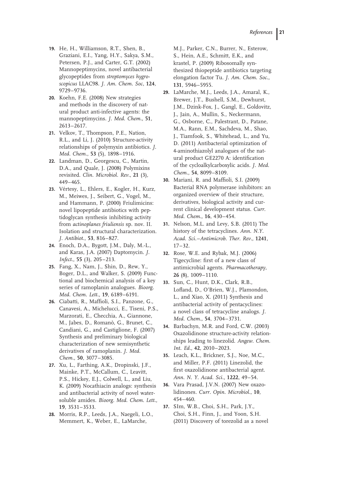- **19.** He, H., Williamson, R.T., Shen, B., Graziani, E.I., Yang, H.Y., Sakya, S.M., Petersen, P.J., and Carter, G.T. (2002) Mannopeptimycins, novel antibacterial glycopeptides from *streptomyces hygroscopicus* LLAC98. *J. Am. Chem. Soc*, **124**, 9729–9736.
- **20.** Koehn, F.E. (2008) New strategies and methods in the discovery of natural product anti-infective agents: the mannopeptimycins. *J. Med. Chem.*, **51**, 2613–2617.
- **21.** Velkov, T., Thompson, P.E., Nation, R.L., and Li, J. (2010) Structure-activity relationships of polymyxin antibiotics. *J. Med. Chem.*, **53** (5), 1898–1916.
- **22.** Landman, D., Georgescu, C., Martin, D.A., and Quale, J. (2008) Polymixins revisited. *Clin. Microbiol. Rev.*, **21** (3), 449–465.
- 23. Vértesy, L., Ehlers, E., Kogler, H., Kurz, M., Meiwes, J., Seibert, G., Vogel, M., and Hammann, P. (2000) Friulimicins: novel lipopeptide antibiotics with peptidoglycan synthesis inhibiting activity from *actinoplanes friuliensis* sp. nov. II. Isolation and structural characterization. *J. Antibiot.*, **53**, 816–827.
- **24.** Enoch, D.A., Bygott, J.M., Daly, M.-L., and Karas, J.A. (2007) Daptomycin. *J. Infect.*, **55** (3), 205–213.
- **25.** Fang, X., Nam, J., Shin, D., Rew, Y., Boger, D.L., and Walker, S. (2009) Functional and biochemical analysis of a key series of ramoplanin analogues. *Bioorg. Med. Chem. Lett.*, **19**, 6189–6191.
- **26.** Ciabatti, R., Maffioli, S.I., Panzone, G., Canavesi, A., Michelucci, E., Tiseni, P.S., Marzorati, E., Checchia, A., Giannone, M., Jabes, D., Romanò, G., Brunet, C., Candiani, G., and Castiglione, F. (2007) Synthesis and preliminary biological characterization of new semisynthetic derivatives of ramoplanin. *J. Med. Chem.*, **50**, 3077–3085.
- **27.** Xu, L., Farthing, A.K., Dropinski, J.F., Mainke, P.T., McCallum, C., Leavitt, P.S., Hickey, E.J., Colwell, L., and Liu, K. (2009) Nocathiacin analogs: synthesis and antibacterial activity of novel watersoluble amides. *Bioorg. Med. Chem. Lett.*, **19**, 3531–3533.
- **28.** Morris, R.P., Leeds, J.A., Naegeli, L.O., Memmert, K., Weber, E., LaMarche,

M.J., Parker, C.N., Burrer, N., Esterow, S., Hein, A.E., Schmitt, E.K., and krastel, P. (2009) Ribosomally synthesized thiopeptide antibiotics targeting elongation factor Tu. *J. Am. Chem. Soc.*, **131**, 5946–5955.

- **29.** LaMarche, M.J., Leeds, J.A., Amaral, K., Brewer, J.T., Bushell, S.M., Dewhurst, J.M., Dzink-Fox, J., Gangl, E., Goldovitz, J., Jain, A., Mullin, S., Neckermann, G., Osborne, C., Palestrant, D., Patane, M.A., Rann, E.M., Sachdeva, M., Shao, J., Tiamfook, S., Whitehead, L., and Yu, D. (2011) Antibacterial optimization of 4-aminothiazolyl analogues of the natural product GE2270 A: identification of the cycloalkylcarboxylic acids. *J. Med. Chem.*, **54**, 8099–8109.
- **30.** Mariani, R. and Maffioli, S.I. (2009) Bacterial RNA polymerase inhibitors: an organized overview of their structure, derivatives, biological activity and current clinical development status. *Curr. Med. Chem.*, **16**, 430–454.
- **31.** Nelson, M.L. and Levy, S.B. (2011) The history of the tetracyclines. *Ann. N.Y. Acad. Sci.–Antimicrob. Ther. Rev.*, **1241**,  $17 - 32.$
- **32.** Rose, W.E. and Rybak, M.J. (2006) Tigecycline: first of a new class of antimicrobial agents. *Pharmacotherapy*, **26** (8), 1009–1110.
- **33.** Sun, C., Hunt, D.K., Clark, R.B., Lofland, D., O'Brien, W.J., Plamondon, L., and Xiao, X. (2011) Synthesis and antibacterial activity of pentacyclines: a novel class of tetracycline analogs. *J. Med. Chem.*, **54**, 3704–3731.
- **34.** Barbachyn, M.R. and Ford, C.W. (2003) Oxazolidinone structure-activity relationships leading to linezolid. *Angew. Chem. Int. Ed.*, **42**, 2010–2023.
- **35.** Leach, K.L., Brickner, S.J., Noe, M.C., and Miller, P.F. (2011) Linezolid, the first oxazolidinone antibacterial agent. *Ann. N. Y. Acad. Sci.*, **1222**, 49–54.
- **36.** Vara Prasad, J.V.N. (2007) New oxazolidinones. *Curr. Opin. Microbiol.*, **10**, 454–460.
- **37.** SIm, W.B., Choi, S.H., Park, J.Y., Choi, S.H., Finn, J., and Yoon, S.H. (2011) Discovery of torezolid as a novel